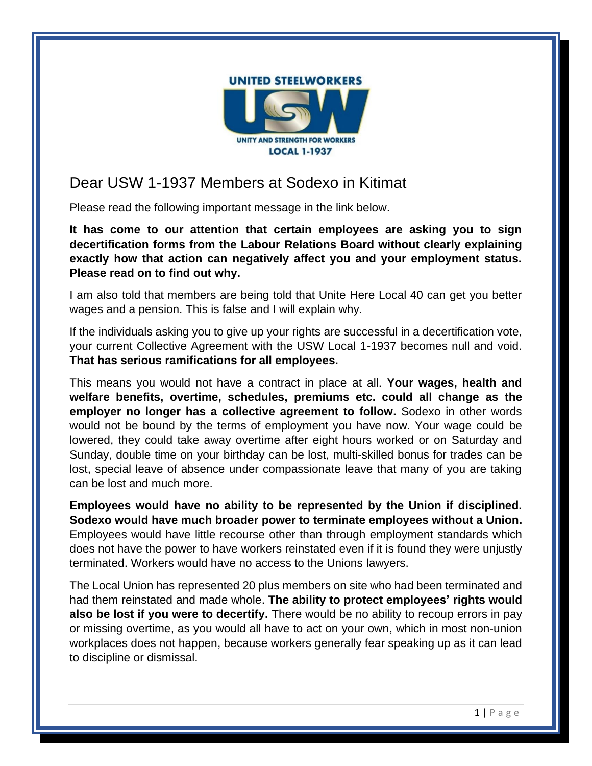

## Dear USW 1-1937 Members at Sodexo in Kitimat

Please read the following important message in the link below.

**It has come to our attention that certain employees are asking you to sign decertification forms from the Labour Relations Board without clearly explaining exactly how that action can negatively affect you and your employment status. Please read on to find out why.**

I am also told that members are being told that Unite Here Local 40 can get you better wages and a pension. This is false and I will explain why.

If the individuals asking you to give up your rights are successful in a decertification vote, your current Collective Agreement with the USW Local 1-1937 becomes null and void. **That has serious ramifications for all employees.**

This means you would not have a contract in place at all. **Your wages, health and welfare benefits, overtime, schedules, premiums etc. could all change as the employer no longer has a collective agreement to follow.** Sodexo in other words would not be bound by the terms of employment you have now. Your wage could be lowered, they could take away overtime after eight hours worked or on Saturday and Sunday, double time on your birthday can be lost, multi-skilled bonus for trades can be lost, special leave of absence under compassionate leave that many of you are taking can be lost and much more.

**Employees would have no ability to be represented by the Union if disciplined. Sodexo would have much broader power to terminate employees without a Union.** Employees would have little recourse other than through employment standards which does not have the power to have workers reinstated even if it is found they were unjustly terminated. Workers would have no access to the Unions lawyers.

The Local Union has represented 20 plus members on site who had been terminated and had them reinstated and made whole. **The ability to protect employees' rights would also be lost if you were to decertify.** There would be no ability to recoup errors in pay or missing overtime, as you would all have to act on your own, which in most non-union workplaces does not happen, because workers generally fear speaking up as it can lead to discipline or dismissal.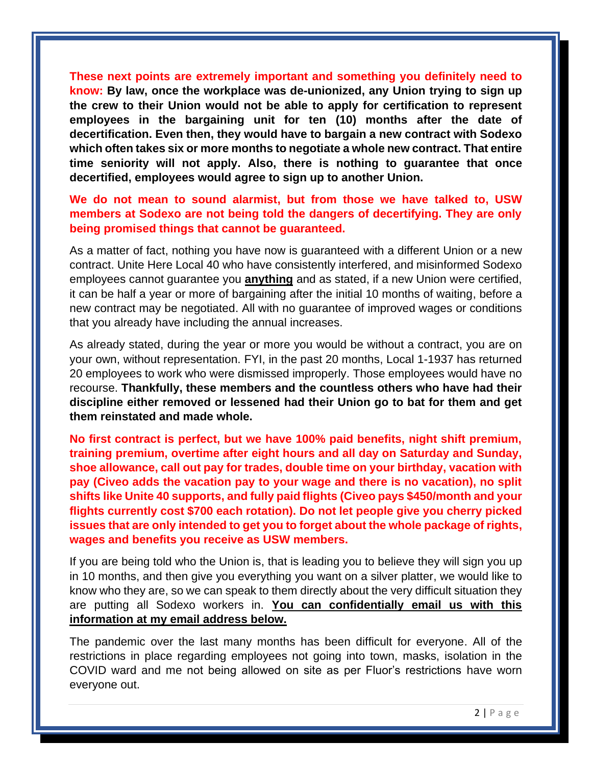**These next points are extremely important and something you definitely need to know: By law, once the workplace was de-unionized, any Union trying to sign up the crew to their Union would not be able to apply for certification to represent employees in the bargaining unit for ten (10) months after the date of decertification. Even then, they would have to bargain a new contract with Sodexo which often takes six or more months to negotiate a whole new contract. That entire time seniority will not apply. Also, there is nothing to guarantee that once decertified, employees would agree to sign up to another Union.**

## **We do not mean to sound alarmist, but from those we have talked to, USW members at Sodexo are not being told the dangers of decertifying. They are only being promised things that cannot be guaranteed.**

As a matter of fact, nothing you have now is guaranteed with a different Union or a new contract. Unite Here Local 40 who have consistently interfered, and misinformed Sodexo employees cannot guarantee you **anything** and as stated, if a new Union were certified, it can be half a year or more of bargaining after the initial 10 months of waiting, before a new contract may be negotiated. All with no guarantee of improved wages or conditions that you already have including the annual increases.

As already stated, during the year or more you would be without a contract, you are on your own, without representation. FYI, in the past 20 months, Local 1-1937 has returned 20 employees to work who were dismissed improperly. Those employees would have no recourse. **Thankfully, these members and the countless others who have had their discipline either removed or lessened had their Union go to bat for them and get them reinstated and made whole.**

**No first contract is perfect, but we have 100% paid benefits, night shift premium, training premium, overtime after eight hours and all day on Saturday and Sunday, shoe allowance, call out pay for trades, double time on your birthday, vacation with pay (Civeo adds the vacation pay to your wage and there is no vacation), no split shifts like Unite 40 supports, and fully paid flights (Civeo pays \$450/month and your flights currently cost \$700 each rotation). Do not let people give you cherry picked issues that are only intended to get you to forget about the whole package of rights, wages and benefits you receive as USW members.**

If you are being told who the Union is, that is leading you to believe they will sign you up in 10 months, and then give you everything you want on a silver platter, we would like to know who they are, so we can speak to them directly about the very difficult situation they are putting all Sodexo workers in. **You can confidentially email us with this information at my email address below.**

The pandemic over the last many months has been difficult for everyone. All of the restrictions in place regarding employees not going into town, masks, isolation in the COVID ward and me not being allowed on site as per Fluor's restrictions have worn everyone out.